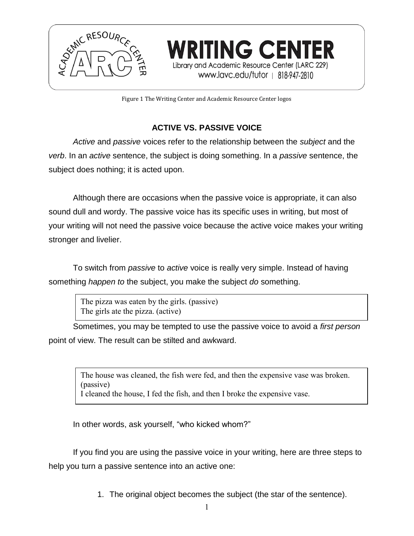

Figure 1 The Writing Center and Academic Resource Center logos

**WRITING CENTER** 

Library and Academic Resource Center (LARC 229) www.lavc.edu/tutor | 818-947-2810

# **ACTIVE VS. PASSIVE VOICE**

*Active* and *passive* voices refer to the relationship between the *subject* and the *verb*. In an *active* sentence, the subject is doing something. In a *passive* sentence, the subject does nothing; it is acted upon.

Although there are occasions when the passive voice is appropriate, it can also sound dull and wordy. The passive voice has its specific uses in writing, but most of your writing will not need the passive voice because the active voice makes your writing stronger and livelier.

To switch from *passive* to *active* voice is really very simple. Instead of having something *happen to* the subject, you make the subject *do* something.

> The pizza was eaten by the girls. (passive) The girls ate the pizza. (active)

Sometimes, you may be tempted to use the passive voice to avoid a *first person*  point of view. The result can be stilted and awkward.

The house was cleaned, the fish were fed, and then the expensive vase was broken. (passive) I cleaned the house, I fed the fish, and then I broke the expensive vase.

In other words, ask yourself, "who kicked whom?"

If you find you are using the passive voice in your writing, here are three steps to help you turn a passive sentence into an active one:

1. The original object becomes the subject (the star of the sentence).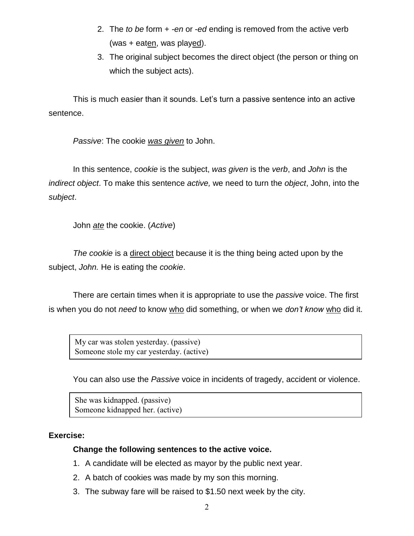- 2. The *to be* form + *-en* or -*ed* ending is removed from the active verb (was + eaten, was played).
- 3. The original subject becomes the direct object (the person or thing on which the subject acts).

This is much easier than it sounds. Let's turn a passive sentence into an active sentence.

*Passive*: The cookie *was given* to John.

In this sentence, *cookie* is the subject, *was given* is the *verb*, and *John* is the *indirect object*. To make this sentence *active,* we need to turn the *object*, John, into the *subject*.

John *ate* the cookie. (*Active*)

*The cookie* is a direct object because it is the thing being acted upon by the subject, *John.* He is eating the *cookie*.

There are certain times when it is appropriate to use the *passive* voice. The first is when you do not *need* to know who did something, or when we *don't know* who did it.

My car was stolen yesterday. (passive) Someone stole my car yesterday. (active)

You can also use the *Passive* voice in incidents of tragedy, accident or violence.

She was kidnapped. (passive) Someone kidnapped her. (active)

## **Exercise:**

#### **Change the following sentences to the active voice.**

- 1. A candidate will be elected as mayor by the public next year.
- 2. A batch of cookies was made by my son this morning.
- 3. The subway fare will be raised to \$1.50 next week by the city.